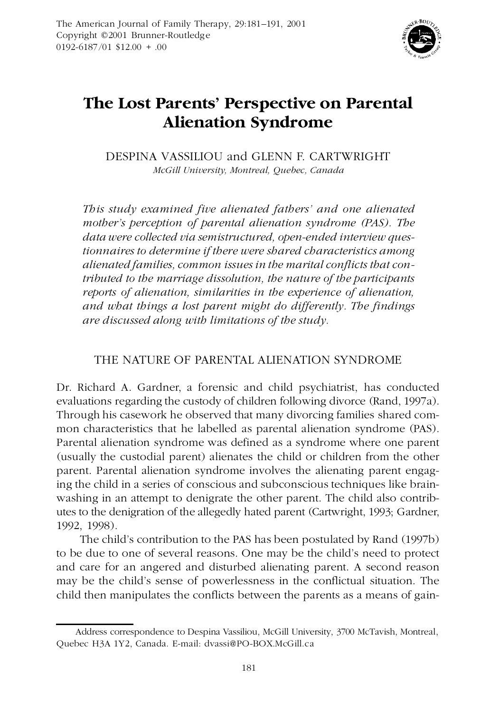

# **The Lost Parents' Perspective on Parental Alienation Syndrome**

DESPINA VASSILIOU and GLENN F. CARTWRIGHT *McGill University, Montreal, Quebec, Canada*

*This study examined five alienated fathers' and one alienated mother's perception of parental alienation syndrome (PAS). The data were collected via semistructured, open-ended interview questionnaires to determine if there were shared characteristics among alienated families, common issues in the marital conflicts that contributed to the marriage dissolution, the nature of the participants reports of alienation, similarities in the experience of alienation, and what things a lost parent might do differently. The findings are discussed along with limitations of the study.*

# THE NATURE OF PARENTAL ALIENATION SYNDROME

Dr. Richard A. Gardner, a forensic and child psychiatrist, has conducted evaluations regarding the custody of children following divorce (Rand, 1997a). Through his casework he observed that many divorcing families shared com mon characteristics that he labelled as parental alienation syndrome (PAS). Parental alienation syndrome was defined as a syndrome where one parent (usually the custodial parent) alienates the child or children from the other parent. Parental alienation syndrome involves the alienating parent engaging the child in a series of conscious and subconscious techniques like brain washing in an attempt to denigrate the other parent. The child also contrib utes to the denigration of the allegedly hated parent (Cartwright, 1993; Gardner, 1992, 1998).

The child's contribution to the PAS has been postulated by Rand (1997b) to be due to one of several reasons. One may be the child's need to protect and care for an angered and disturbed alienating parent. A second reason may be the child's sense of powerlessness in the conflictual situation. The child then manipulates the conflicts between the parents as a means of gain-

Address correspondence to Despina Vassiliou, McGill University, 3700 McTavish, Montreal, Quebec H3A 1Y2, Canada. E-mail: dvassi@PO-BOX.McGill.ca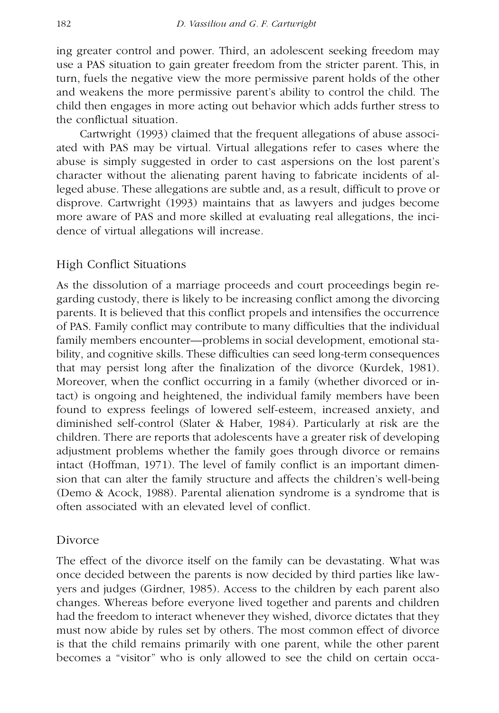ing greater control and power. Third, an adolescent seeking freedom may use a PAS situation to gain greater freedom from the stricter parent. This, in turn, fuels the negative view the more permissive parent holds of the other and weakens the more permissive parent's ability to control the child. The child then engages in more acting out behavior which adds further stress to the conflictual situation.

Cartwright (1993) claimed that the frequent allegations of abuse associ ated with PAS may be virtual. Virtual allegations refer to cases where the abuse is simply suggested in order to cast aspersions on the lost parent's character without the alienating parent having to fabricate incidents of alleged abuse. These allegations are subtle and, as a result, difficult to prove or disprove. Cartwright (1993) maintains that as lawyers and judges become more aware of PAS and more skilled at evaluating real allegations, the inci dence of virtual allegations will increase.

#### High Conflict Situations

As the dissolution of a marriage proceeds and court proceedings begin re garding custody, there is likely to be increasing conflict among the divorcing parents. It is believed that this conflict propels and intensifies the occurrence of PAS. Family conflict may contribute to many difficulties that the individual family members encounter—problems in social development, emotional sta bility, and cognitive skills. These difficulties can seed long-term consequences that may persist long after the finalization of the divorce (Kurdek, 1981). Moreover, when the conflict occurring in a family (whether divorced or intact) is ongoing and heightened, the individual family members have been found to express feelings of lowered self-esteem, increased anxiety, and diminished self-control (Slater & Haber, 1984). Particularly at risk are the children. There are reports that adolescents have a greater risk of developing adjustment problems whether the family goes through divorce or remains intact (Hoffman, 1971). The level of family conflict is an important dimen sion that can alter the family structure and affects the children's well-being (Demo & Acock, 1988). Parental alienation syndrome is a syndrome that is often associated with an elevated level of conflict.

#### Divorce

The effect of the divorce itself on the family can be devastating. What was once decided between the parents is now decided by third parties like law yers and judges (Girdner, 1985). Access to the children by each parent also changes. Whereas before everyone lived together and parents and children had the freedom to interact whenever they wished, divorce dictates that they must now abide by rules set by others. The most common effect of divorce is that the child remains primarily with one parent, while the other parent becomes a "visitor" who is only allowed to see the child on certain occa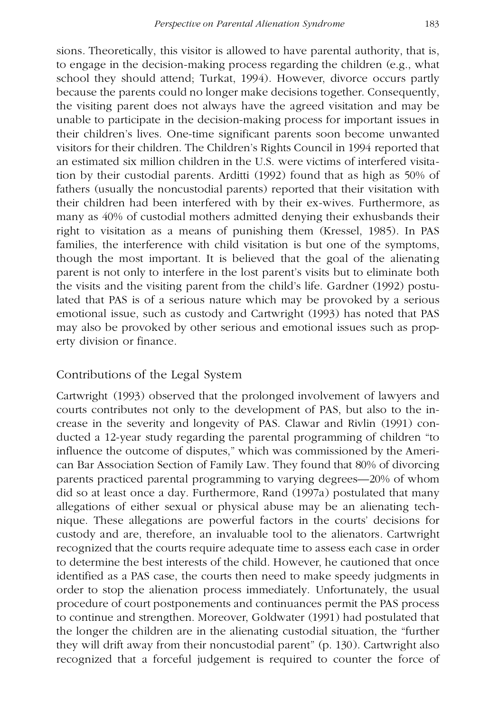sions. Theoretically, this visitor is allowed to have parental authority, that is, to engage in the decision-making process regarding the children (e.g., what school they should attend; Turkat, 1994). However, divorce occurs partly because the parents could no longer make decisions together. Consequently, the visiting parent does not always have the agreed visitation and may be unable to participate in the decision-making process for important issues in their children's lives. One-time significant parents soon become unwanted visitors for their children. The Children's Rights Council in 1994 reported that an estimated six million children in the U.S. were victims of interfered visitation by their custodial parents. Arditti (1992) found that as high as 50% of fathers (usually the noncustodial parents) reported that their visitation with their children had been interfered with by their ex-wives. Furthermore, as many as 40% of custodial mothers admitted denying their exhusbands their right to visitation as a means of punishing them (Kressel, 1985). In PAS families, the interference with child visitation is but one of the symptoms, though the most important. It is believed that the goal of the alienating parent is not only to interfere in the lost parent's visits but to eliminate both the visits and the visiting parent from the child's life. Gardner (1992) postulated that PAS is of a serious nature which may be provoked by a serious emotional issue, such as custody and Cartwright (1993) has noted that PAS may also be provoked by other serious and emotional issues such as prop erty division or finance.

### Contributions of the Legal System

Cartwright (1993) observed that the prolonged involvement of lawyers and courts contributes not only to the development of PAS, but also to the in crease in the severity and longevity of PAS. Clawar and Rivlin (1991) conducted a 12-year study regarding the parental programming of children "to influence the outcome of disputes," which was commissioned by the Ameri can Bar Association Section of Family Law. They found that 80% of divorcing parents practiced parental programming to varying degrees—20% of whom did so at least once a day. Furthermore, Rand (1997a) postulated that many allegations of either sexual or physical abuse may be an alienating tech nique. These allegations are powerful factors in the courts' decisions for custody and are, therefore, an invaluable tool to the alienators. Cartwright recognized that the courts require adequate time to assess each case in order to determine the best interests of the child. However, he cautioned that once identified as a PAS case, the courts then need to make speedy judgments in order to stop the alienation process immediately. Unfortunately, the usual procedure of court postponements and continuances permit the PAS process to continue and strengthen. Moreover, Goldwater (1991) had postulated that the longer the children are in the alienating custodial situation, the "further they will drift away from their noncustodial parent" (p. 130). Cartwright also recognized that a forceful judgement is required to counter the force of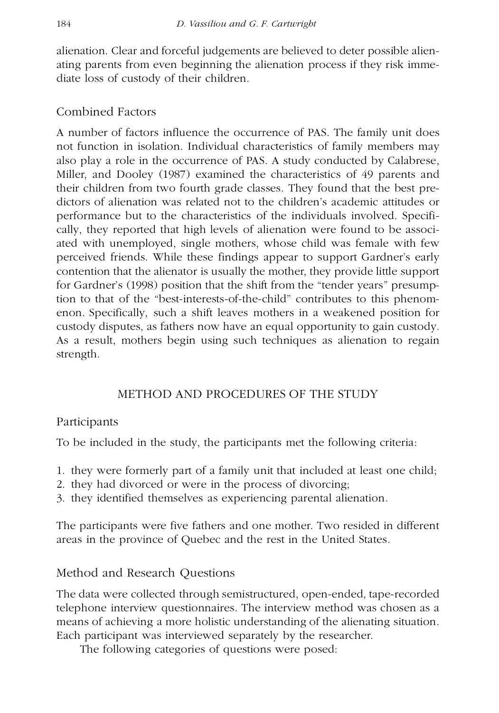alienation. Clear and forceful judgements are believed to deter possible alien ating parents from even beginning the alienation process if they risk imme diate loss of custody of their children.

# Combined Factors

A number of factors influence the occurrence of PAS. The family unit does not function in isolation. Individual characteristics of family members may also play a role in the occurrence of PAS. A study conducted by Calabrese, Miller, and Dooley (1987) examined the characteristics of 49 parents and their children from two fourth grade classes. They found that the best pre dictors of alienation was related not to the children's academic attitudes or performance but to the characteristics of the individuals involved. Specifi cally, they reported that high levels of alienation were found to be associ ated with unemployed, single mothers, whose child was female with few perceived friends. While these findings appear to support Gardner's early contention that the alienator is usually the mother, they provide little support for Gardner's (1998) position that the shift from the "tender years" presumption to that of the "best-interests-of-the-child" contributes to this phenom enon. Specifically, such a shift leaves mothers in a weakened position for custody disputes, as fathers now have an equal opportunity to gain custody. As a result, mothers begin using such techniques as alienation to regain strength.

# METHOD AND PROCEDURES OF THE STUDY

# Participants

To be included in the study, the participants met the following criteria:

- 1. they were formerly part of a family unit that included at least one child;
- 2. they had divorced or were in the process of divorcing;
- 3. they identified themselves as experiencing parental alienation.

The participants were five fathers and one mother. Two resided in different areas in the province of Quebec and the rest in the United States.

# Method and Research Questions

The data were collected through semistructured, open-ended, tape-recorded telephone interview questionnaires. The interview method was chosen as a means of achieving a more holistic understanding of the alienating situation. Each participant was interviewed separately by the researcher.

The following categories of questions were posed: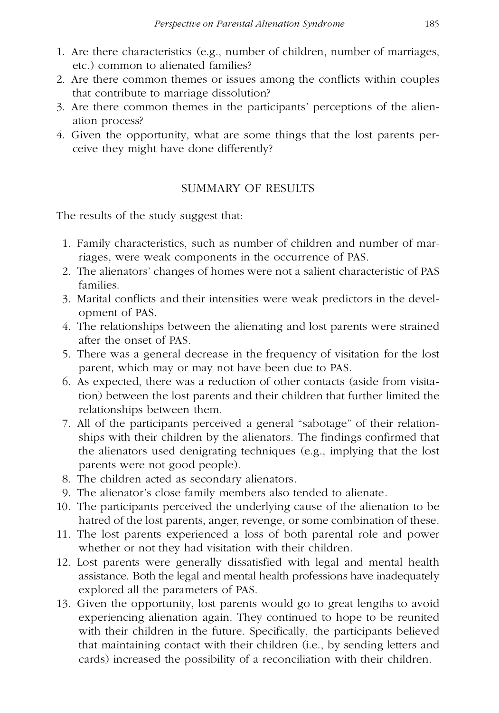- 1. Are there characteristics (e.g., number of children, number of marriages, etc.) common to alienated families?
- 2. Are there common themes or issues among the conflicts within couples that contribute to marriage dissolution?
- 3. Are there common themes in the participants' perceptions of the alien ation process?
- 4. Given the opportunity, what are some things that the lost parents per ceive they might have done differently?

# SUMMARY OF RESULTS

The results of the study suggest that:

- 1. Family characteristics, such as number of children and number of marriages, were weak components in the occurrence of PAS.
- 2. The alienators' changes of homes were not a salient characteristic of PAS families.
- 3. Marital conflicts and their intensities were weak predictors in the devel opment of PAS.
- 4. The relationships between the alienating and lost parents were strained after the onset of PAS.
- 5. There was a general decrease in the frequency of visitation for the lost parent, which may or may not have been due to PAS.
- 6. As expected, there was a reduction of other contacts (aside from visitation) between the lost parents and their children that further limited the relationships between them.
- 7. All of the participants perceived a general "sabotage" of their relation ships with their children by the alienators. The findings confirmed that the alienators used denigrating techniques (e.g., implying that the lost parents were not good people).
- 8. The children acted as secondary alienators.
- 9. The alienator's close family members also tended to alienate.
- 10. The participants perceived the underlying cause of the alienation to be hatred of the lost parents, anger, revenge, or some combination of these.
- 11. The lost parents experienced a loss of both parental role and power whether or not they had visitation with their children.
- 12. Lost parents were generally dissatisfied with legal and mental health assistance. Both the legal and mental health professions have inadequately explored all the parameters of PAS.
- 13. Given the opportunity, lost parents would go to great lengths to avoid experiencing alienation again. They continued to hope to be reunited with their children in the future. Specifically, the participants believed that maintaining contact with their children (i.e., by sending letters and cards) increased the possibility of a reconciliation with their children.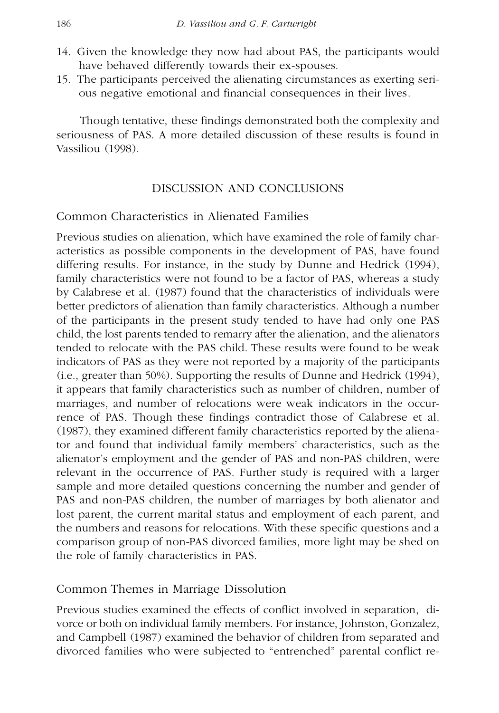- 14. Given the knowledge they now had about PAS, the participants would have behaved differently towards their ex-spouses.
- 15. The participants perceived the alienating circumstances as exerting seri ous negative emotional and financial consequences in their lives.

Though tentative, these findings demonstrated both the complexity and seriousness of PAS. A more detailed discussion of these results is found in Vassiliou (1998).

### DISCUSSION AND CONCLUSIONS

### Common Characteristics in Alienated Families

Previous studies on alienation, which have examined the role of family char acteristics as possible components in the development of PAS, have found differing results. For instance, in the study by Dunne and Hedrick (1994), family characteristics were not found to be a factor of PAS, whereas a study by Calabrese et al. (1987) found that the characteristics of individuals were better predictors of alienation than family characteristics. Although a number of the participants in the present study tended to have had only one PAS child, the lost parents tended to remarry after the alienation, and the alienators tended to relocate with the PAS child. These results were found to be weak indicators of PAS as they were not reported by a majority of the participants (i.e., greater than 50%). Supporting the results of Dunne and Hedrick (1994), it appears that family characteristics such as number of children, number of marriages, and number of relocations were weak indicators in the occurrence of PAS. Though these findings contradict those of Calabrese et al. (1987), they examined different family characteristics reported by the alienator and found that individual family members' characteristics, such as the alienator's employment and the gender of PAS and non-PAS children, were relevant in the occurrence of PAS. Further study is required with a larger sample and more detailed questions concerning the number and gender of PAS and non-PAS children, the number of marriages by both alienator and lost parent, the current marital status and employment of each parent, and the numbers and reasons for relocations. With these specific questions and a comparison group of non-PAS divorced families, more light may be shed on the role of family characteristics in PAS.

### Common Themes in Marriage Dissolution

Previous studies examined the effects of conflict involved in separation, di vorce or both on individual family members. For instance, Johnston, Gonzalez, and Campbell (1987) examined the behavior of children from separated and divorced families who were subjected to "entrenched" parental conflict re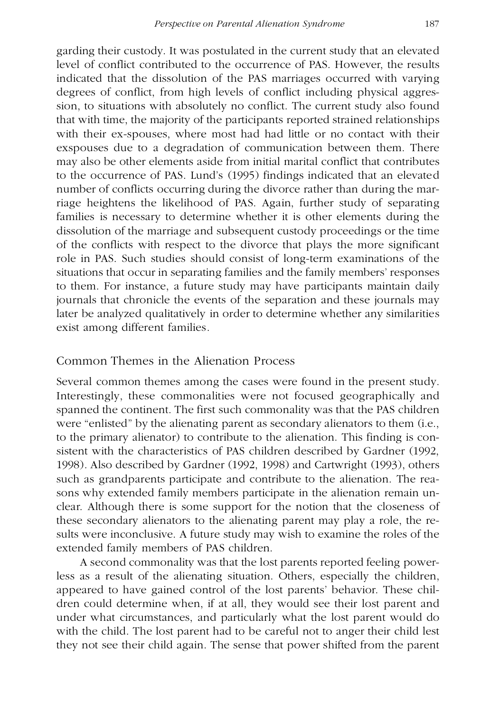garding their custody. It was postulated in the current study that an elevated level of conflict contributed to the occurrence of PAS. However, the results indicated that the dissolution of the PAS marriages occurred with varying degrees of conflict, from high levels of conflict including physical aggres sion, to situations with absolutely no conflict. The current study also found that with time, the majority of the participants reported strained relationships with their ex-spouses, where most had had little or no contact with their exspouses due to a degradation of communication between them. There may also be other elements aside from initial marital conflict that contributes to the occurrence of PAS. Lund's (1995) findings indicated that an elevated number of conflicts occurring during the divorce rather than during the marriage heightens the likelihood of PAS. Again, further study of separating families is necessary to determine whether it is other elements during the dissolution of the marriage and subsequent custody proceedings or the time of the conflicts with respect to the divorce that plays the more significant role in PAS. Such studies should consist of long-term examinations of the situations that occur in separating families and the family members' responses to them. For instance, a future study may have participants maintain daily journals that chronicle the events of the separation and these journals may later be analyzed qualitatively in order to determine whether any similarities exist among different families.

## Common Themes in the Alienation Process

Several common themes among the cases were found in the present study. Interestingly, these commonalities were not focused geographically and spanned the continent. The first such commonality was that the PAS children were "enlisted" by the alienating parent as secondary alienators to them (i.e., to the primary alienator) to contribute to the alienation. This finding is con sistent with the characteristics of PAS children described by Gardner (1992, 1998). Also described by Gardner (1992, 1998) and Cartwright (1993), others such as grandparents participate and contribute to the alienation. The rea sons why extended family members participate in the alienation remain un clear. Although there is some support for the notion that the closeness of these secondary alienators to the alienating parent may play a role, the re sults were inconclusive. A future study may wish to examine the roles of the extended family members of PAS children.

A second commonality was that the lost parents reported feeling powerless as a result of the alienating situation. Others, especially the children, appeared to have gained control of the lost parents' behavior. These chil dren could determine when, if at all, they would see their lost parent and under what circumstances, and particularly what the lost parent would do with the child. The lost parent had to be careful not to anger their child lest they not see their child again. The sense that power shifted from the parent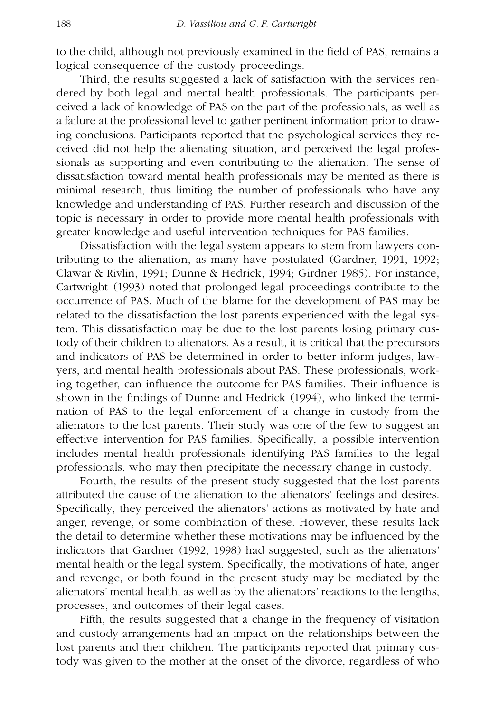to the child, although not previously examined in the field of PAS, remains a logical consequence of the custody proceedings.

Third, the results suggested a lack of satisfaction with the services ren dered by both legal and mental health professionals. The participants per ceived a lack of knowledge of PAS on the part of the professionals, as well as a failure at the professional level to gather pertinent information prior to drawing conclusions. Participants reported that the psychological services they re ceived did not help the alienating situation, and perceived the legal profes sionals as supporting and even contributing to the alienation. The sense of dissatisfaction toward mental health professionals may be merited as there is minimal research, thus limiting the number of professionals who have any knowledge and understanding of PAS. Further research and discussion of the topic is necessary in order to provide more mental health professionals with greater knowledge and useful intervention techniques for PAS families.

Dissatisfaction with the legal system appears to stem from lawyers contributing to the alienation, as many have postulated (Gardner, 1991, 1992; Clawar & Rivlin, 1991; Dunne & Hedrick, 1994; Girdner 1985). For instance, Cartwright (1993) noted that prolonged legal proceedings contribute to the occurrence of PAS. Much of the blame for the development of PAS may be related to the dissatisfaction the lost parents experienced with the legal system. This dissatisfaction may be due to the lost parents losing primary custody of their children to alienators. As a result, it is critical that the precursors and indicators of PAS be determined in order to better inform judges, law yers, and mental health professionals about PAS. These professionals, working together, can influence the outcome for PAS families. Their influence is shown in the findings of Dunne and Hedrick (1994), who linked the termi nation of PAS to the legal enforcement of a change in custody from the alienators to the lost parents. Their study was one of the few to suggest an effective intervention for PAS families. Specifically, a possible intervention includes mental health professionals identifying PAS families to the legal professionals, who may then precipitate the necessary change in custody.

Fourth, the results of the present study suggested that the lost parents attributed the cause of the alienation to the alienators' feelings and desires. Specifically, they perceived the alienators' actions as motivated by hate and anger, revenge, or some combination of these. However, these results lack the detail to determine whether these motivations may be influenced by the indicators that Gardner (1992, 1998) had suggested, such as the alienators' mental health or the legal system. Specifically, the motivations of hate, anger and revenge, or both found in the present study may be mediated by the alienators' mental health, as well as by the alienators' reactions to the lengths, processes, and outcomes of their legal cases.

Fifth, the results suggested that a change in the frequency of visitation and custody arrangements had an impact on the relationships between the lost parents and their children. The participants reported that primary custody was given to the mother at the onset of the divorce, regardless of who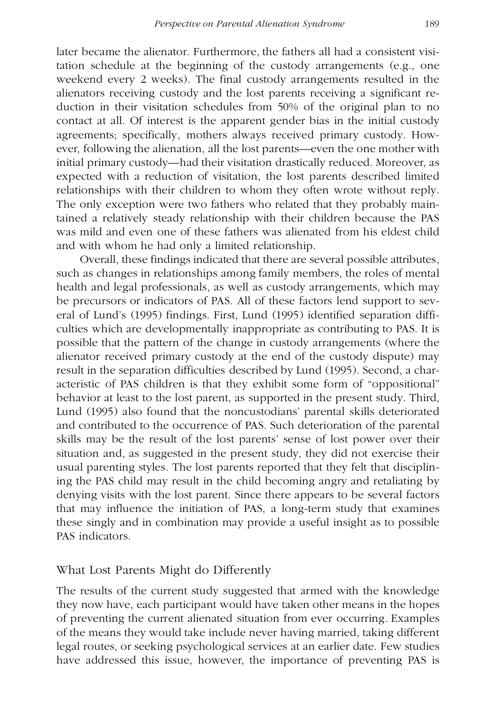later became the alienator. Furthermore, the fathers all had a consistent visitation schedule at the beginning of the custody arrangements (e.g., one weekend every 2 weeks). The final custody arrangements resulted in the alienators receiving custody and the lost parents receiving a significant re duction in their visitation schedules from 50% of the original plan to no contact at all. Of interest is the apparent gender bias in the initial custody agreements; specifically, mothers always received primary custody. How ever, following the alienation, all the lost parents—even the one mother with initial primary custody—had their visitation drastically reduced. Moreover, as expected with a reduction of visitation, the lost parents described limited relationships with their children to whom they often wrote without reply. The only exception were two fathers who related that they probably maintained a relatively steady relationship with their children because the PAS was mild and even one of these fathers was alienated from his eldest child and with whom he had only a limited relationship.

Overall, these findings indicated that there are several possible attributes, such as changes in relationships among family members, the roles of mental health and legal professionals, as well as custody arrangements, which may be precursors or indicators of PAS. All of these factors lend support to sev eral of Lund's (1995) findings. First, Lund (1995) identified separation diffi culties which are developmentally inappropriate as contributing to PAS. It is possible that the pattern of the change in custody arrangements (where the alienator received primary custody at the end of the custody dispute) may result in the separation difficulties described by Lund (1995). Second, a char acteristic of PAS children is that they exhibit some form of "oppositional" behavior at least to the lost parent, as supported in the present study. Third, Lund (1995) also found that the noncustodians' parental skills deteriorated and contributed to the occurrence of PAS. Such deterioration of the parental skills may be the result of the lost parents' sense of lost power over their situation and, as suggested in the present study, they did not exercise their usual parenting styles. The lost parents reported that they felt that disciplining the PAS child may result in the child becoming angry and retaliating by denying visits with the lost parent. Since there appears to be several factors that may influence the initiation of PAS, a long-term study that examines these singly and in combination may provide a useful insight as to possible PAS indicators.

#### What Lost Parents Might do Differently

The results of the current study suggested that armed with the knowledge they now have, each participant would have taken other means in the hopes of preventing the current alienated situation from ever occurring. Examples of the means they would take include never having married, taking different legal routes, or seeking psychological services at an earlier date. Few studies have addressed this issue, however, the importance of preventing PAS is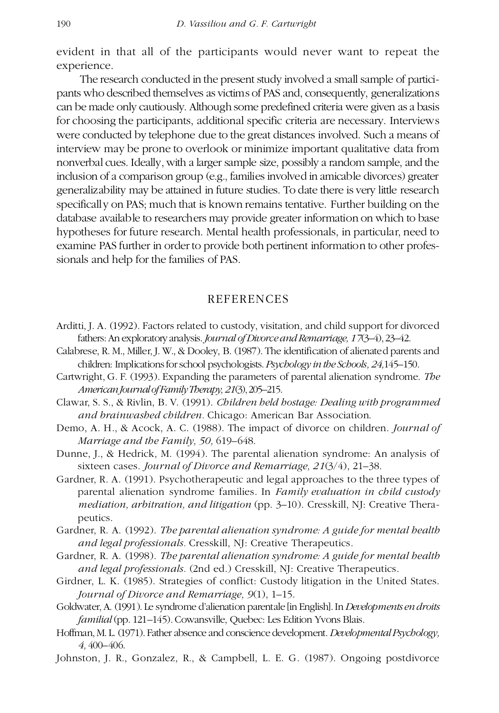evident in that all of the participants would never want to repeat the experience.

The research conducted in the present study involved a small sample of partici pants who described themselves as victims of PAS and, consequently, generalizations can be made only cautiously. Although some predefined criteria were given as a basis for choosing the participants, additional specific criteria are necessary. Interviews were conducted by telephone due to the great distances involved. Such a means of interview may be prone to overlook or minimize important qualitative data from nonverbal cues. Ideally, with a larger sample size, possibly a random sample, and the inclusion of a comparison group (e.g., families involved in amicable divorces) greater generalizability may be attained in future studies. To date there is very little research specifically on PAS; much that is known remains tentative. Further building on the database available to researchers may provide greater information on which to base hypotheses for future research. Mental health professionals, in particular, need to examine PAS further in order to provide both pertinent information to other profes sionals and help for the families of PAS.

#### REFERENCES

- Arditti, J. A. (1992). Factors related to custody, visitation, and child support for divorced fathers:An exploratory analysis.*Journal of Divorce and Remarriage, 17*(3–4),23–42.
- Calabrese, R. M., Miller, J. W., & Dooley, B. (1987). The identification of alienated parents and children: Implications for school psychologists.*Psychology in the Schools, 24,*145–150.
- Cartwright, G. F. (1993). Expanding the parameters of parental alienation syndrome. *The American Journal of Family Therapy, 21*(3),205–215.
- Clawar, S. S., & Rivlin, B. V. (1991). *Children held hostage: Dealing with programmed and brainwashed children.* Chicago: American Bar Association.
- Demo, A. H., & Acock, A. C. (1988). The impact of divorce on children. *Journal of Marriage and the Family, 50,* 619–648.
- Dunne, J., & Hedrick, M. (1994). The parental alienation syndrome: An analysis of sixteen cases. *Journal of Divorce and Remarriage, 21*(3/4), 21–38.
- Gardner, R. A. (1991). Psychotherapeutic and legal approaches to the three types of parental alienation syndrome families. In *Family evaluation in child custody mediation, arbitration, and litigation* (pp. 3–10). Cresskill, NJ: Creative Thera peutics.
- Gardner, R. A. (1992). *The parental alienation syndrome: A guide for mental health and legal professionals.* Cresskill, NJ: Creative Therapeutics.
- Gardner, R. A. (1998). *The parental alienation syndrome: A guide for mental health and legal professionals.* (2nd ed.) Cresskill, NJ: Creative Therapeutics.
- Girdner, L. K. (1985). Strategies of conflict: Custody litigation in the United States. *Journal of Divorce and Remarriage, 9*(1), 1–15.
- Goldwater, A. (1991). Le syndrome d'alienation parentale [in English].In*Developments en droits familial* (pp. 121–145). Cowansville, Quebec: Les Edition Yvons Blais.
- Hoffman, M. L. (1971). Father absence and conscience development. *Developmental Psychology*, *4,* 400–406.
- Johnston, J. R., Gonzalez, R., & Campbell, L. E. G. (1987). Ongoing postdivorce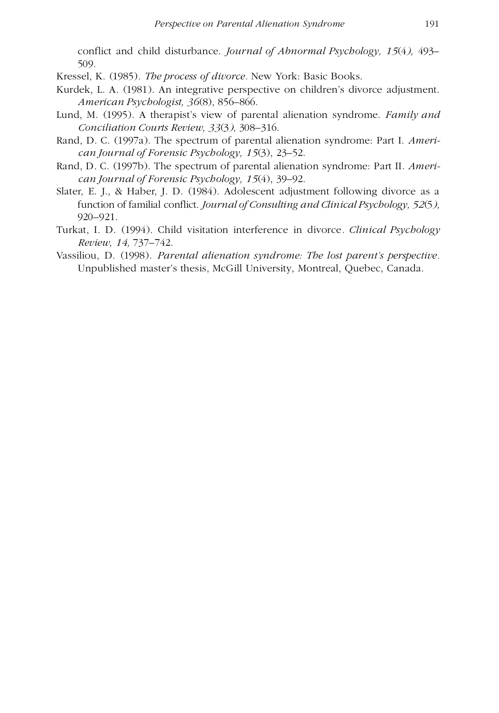conflict and child disturbance. *Journal of Abnormal Psychology, 15*(4*),* 493– 509.

Kressel, K. (1985). *The process of divorce.* New York: Basic Books.

- Kurdek, L. A. (1981). An integrative perspective on children's divorce adjustment. *American Psychologist, 36*(8), 856–866.
- Lund, M. (1995). A therapist's view of parental alienation syndrome. *Family and Conciliation Courts Review, 33*(3*),* 308–316.
- Rand, D. C. (1997a). The spectrum of parental alienation syndrome: Part I. *American Journal of Forensic Psychology, 15*(3), 23–52.
- Rand, D. C. (1997b). The spectrum of parental alienation syndrome: Part II. *American Journal of Forensic Psychology, 15*(4), 39–92.
- Slater, E. J., & Haber, J. D. (1984). Adolescent adjustment following divorce as a function of familial conflict. *Journal of Consulting and Clinical Psychology, 52*(5*),* 920–921.
- Turkat, I. D. (1994). Child visitation interference in divorce*. Clinical Psychology Review, 14,* 737–742.
- Vassiliou, D. (1998). *Parental alienation syndrome: The lost parent's perspective.* Unpublished master's thesis, McGill University, Montreal, Quebec, Canada.